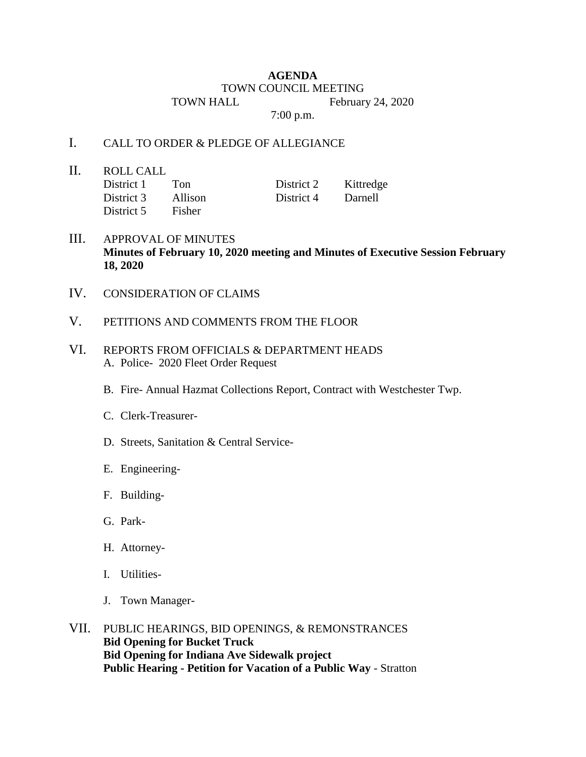## **AGENDA** TOWN COUNCIL MEETING TOWN HALL February 24, 2020

7:00 p.m.

## I. CALL TO ORDER & PLEDGE OF ALLEGIANCE

II. ROLL CALL

District 1 Ton District 2 Kittredge District 3 Allison District 4 Darnell District 5 Fisher

- III. APPROVAL OF MINUTES **Minutes of February 10, 2020 meeting and Minutes of Executive Session February 18, 2020**
- IV. CONSIDERATION OF CLAIMS
- V. PETITIONS AND COMMENTS FROM THE FLOOR
- VI. REPORTS FROM OFFICIALS & DEPARTMENT HEADS A. Police- 2020 Fleet Order Request
	- B. Fire- Annual Hazmat Collections Report, Contract with Westchester Twp.
	- C. Clerk-Treasurer-
	- D. Streets, Sanitation & Central Service-
	- E. Engineering-
	- F. Building-
	- G. Park-
	- H. Attorney-
	- I. Utilities-
	- J. Town Manager-
- VII. PUBLIC HEARINGS, BID OPENINGS, & REMONSTRANCES **Bid Opening for Bucket Truck Bid Opening for Indiana Ave Sidewalk project Public Hearing - Petition for Vacation of a Public Way** - Stratton